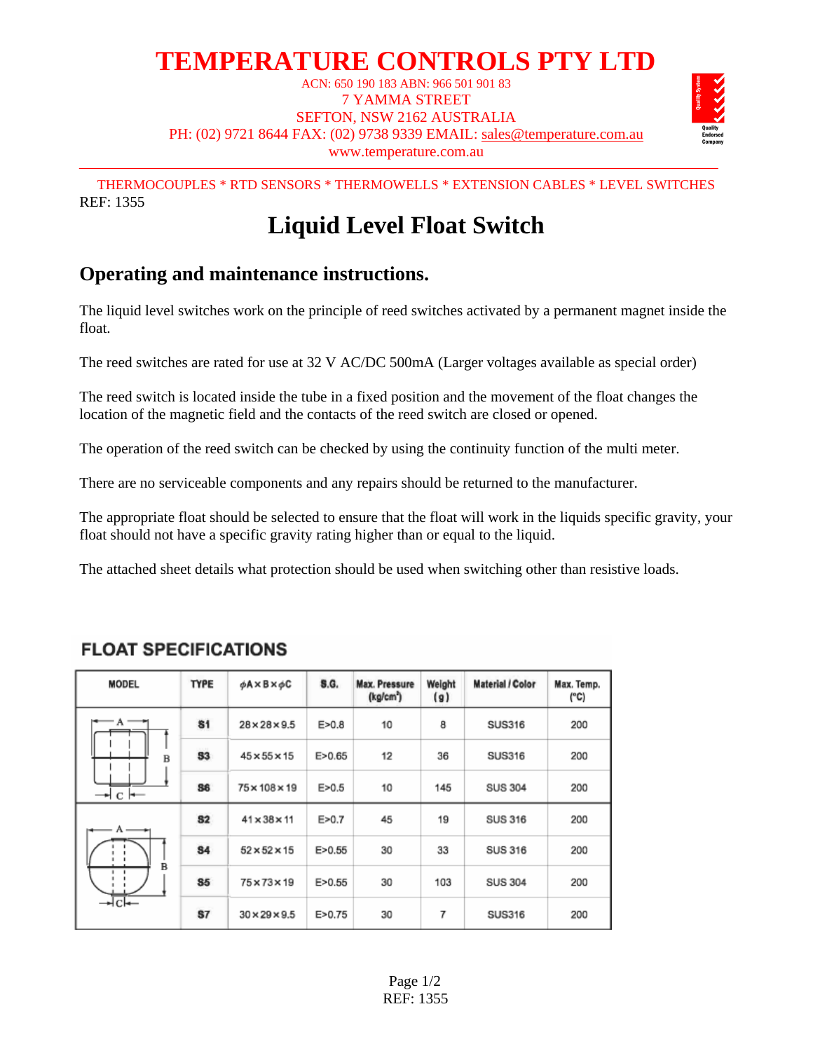# **TEMPERATURE CONTROLS PTY LTD**

ACN: 650 190 183 ABN: 966 501 901 83 7 YAMMA STREET SEFTON, NSW 2162 AUSTRALIA PH: (02) 9721 8644 FAX: (02) 9738 9339 EMAIL: sales@temperature.com.au www.temperature.com.au



THERMOCOUPLES \* RTD SENSORS \* THERMOWELLS \* EXTENSION CABLES \* LEVEL SWITCHES REF: 1355

## **Liquid Level Float Switch**

## **Operating and maintenance instructions.**

The liquid level switches work on the principle of reed switches activated by a permanent magnet inside the float.

The reed switches are rated for use at 32 V AC/DC 500mA (Larger voltages available as special order)

The reed switch is located inside the tube in a fixed position and the movement of the float changes the location of the magnetic field and the contacts of the reed switch are closed or opened.

The operation of the reed switch can be checked by using the continuity function of the multi meter.

There are no serviceable components and any repairs should be returned to the manufacturer.

The appropriate float should be selected to ensure that the float will work in the liquids specific gravity, your float should not have a specific gravity rating higher than or equal to the liquid.

The attached sheet details what protection should be used when switching other than resistive loads.

| <b>MODEL</b>                     | <b>TYPE</b> | $\phi$ A $\times$ B $\times$ $\phi$ C | <b>S.G.</b> | <b>Max. Pressure</b><br>(kg/cm <sup>2</sup> ) | Weight<br>(g) | <b>Material / Color</b> | Max. Temp.<br>(°C) |
|----------------------------------|-------------|---------------------------------------|-------------|-----------------------------------------------|---------------|-------------------------|--------------------|
| $-\,$ a $-\,$<br>B<br>— + c I →— | 81          | $28 \times 28 \times 9.5$             | E > 0.8     | 10                                            | 8             | <b>SUS316</b>           | 200                |
|                                  | 53          | $45 \times 55 \times 15$              | E > 0.65    | 12                                            | 36            | <b>SUS316</b>           | 200                |
|                                  | 86          | 75×108×19                             | E > 0.5     | 10                                            | 145           | <b>SUS 304</b>          | 200                |
| $A -$<br>B<br>—⊷lcl—             | 82          | $41 \times 38 \times 11$              | E > 0.7     | 45                                            | 19            | <b>SUS 316</b>          | 200                |
|                                  | 84          | $52 \times 52 \times 15$              | E > 0.55    | 30                                            | 33            | <b>SUS 316</b>          | 200                |
|                                  | 85          | 75×73×19                              | E > 0.55    | 30                                            | 103           | <b>SUS 304</b>          | 200                |
|                                  | <b>S7</b>   | $30 \times 29 \times 9.5$             | E > 0.75    | 30                                            | 7             | <b>SUS316</b>           | 200                |

### **FLOAT SPECIFICATIONS**